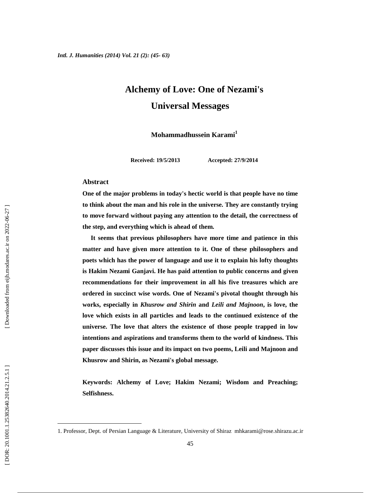# **Alchemy of Love: One of Nezami's Universal Messages**

**Mohammadhussein Karami<sup>1</sup>**

**Received: 19/5/2013 Accepted: 27/9/2014**

#### **Abstract**

**One of the major problems in today's hectic world is that people have no time to think about the man and his role in the universe. They are constantly trying to move forward without paying any attention to the detail, the correctness of the step, and everything which is ahead of them.**

**It seems that previous philosophers have more time and patience in this matter and have given more attention to it. One of these philosophers and poets which has the power of language and use it to explain his lofty thoughts is Hakim Nezami Ganjavi. He has paid attention to public concerns and given recommendations for their improvement in all his five treasures which are ordered in succinct wise words. One of Nezami's pivotal thought through his works, especially in** *Khusrow and Shirin* **and** *Leili and Majnoon***, is love, the love which exists in all particles and leads to the continued existence of the universe. The love that alters the existence of those people trapped in low intentions and aspirations and transforms them to the world of kindness. This paper discusses this issue and its impact on two poems, Leili and Majnoon and Khusrow and Shirin, as Nezami's global message.**

**Keywords: Alchemy of Love; Hakim Nezami; Wisdom and Preaching; Selfishness.**

<sup>1.</sup> Professor, Dept. of Persian Language & Literature, University of Shiraz mhkarami@rose.shirazu.ac.ir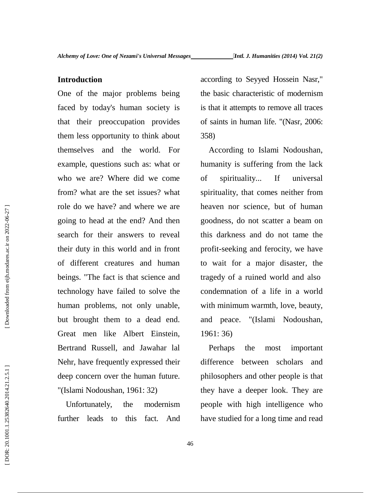## **Introduction**

One of the major problems being faced by today's human society is that their preoccupation provides them less opportunity to think about themselves and the world. For example, questions such as: what or who we are? Where did we come of from? what are the set issues? what role do we have? and where we are going to head at the end? And then search for their answers to reveal their duty in this world and in front of different creatures and human beings. "The fact is that science and technology have failed to solve the human problems, not only unable, but brought them to a dead end. Great men like Albert Einstein, Bertrand Russell, and Jawahar lal Nehr, have frequently expressed their deep concern over the human future. "(Islami Nodoushan, 1961: 32)

Unfortunately, the modernism further leads to this fact. And according to Seyyed Hossein Nasr," the basic characteristic of modernism is that it attempts to remove all traces of saints in human life. "(Nasr, 2006: 358)

According to Islami Nodoushan, humanity is suffering from the lack spirituality... If universal spirituality, that comes neither from heaven nor science, but of human goodness, do not scatter a beam on this darkness and do not tame the profit-seeking and ferocity, we have to wait for a major disaster, the tragedy of a ruined world and also condemnation of a life in a world with minimum warmth, love, beauty, and peace. "(Islami Nodoushan, 1961: 36)

Perhaps the most important difference between scholars and philosophers and other people is that they have a deeper look. They are people with high intelligence who have studied for a long time and read

Downloaded from eijh.modares.ac.ir on 2022-06-27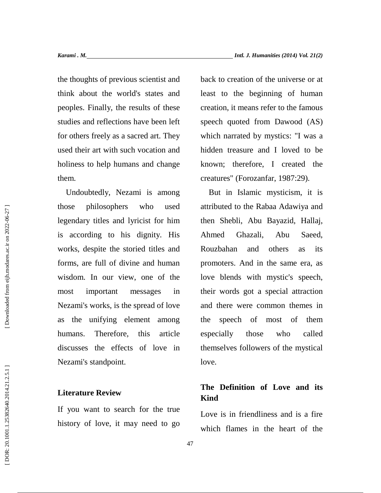the thoughts of previous scientist and think about the world's states and peoples. Finally, the results of these studies and reflections have been left for others freely as a sacred art. They used their art with such vocation and holiness to help humans and change them.

Undoubtedly, Nezami is among those philosophers who used legendary titles and lyricist for him is according to his dignity. His works, despite the storied titles and forms, are full of divine and human wisdom. In our view, one of the most important messages in Nezami's works, is the spread of love as the unifying element among humans. Therefore, this article discusses the effects of love in Nezami's standpoint.

## **Literature Review**

If you want to search for the true history of love, it may need to go back to creation of the universe or at least to the beginning of human creation, it means refer to the famous speech quoted from Dawood (AS) which narrated by mystics: "I was a hidden treasure and I loved to be known; therefore, I created the creatures" (Forozanfar, 1987:29).

But in Islamic mysticism, it is attributed to the Rabaa Adawiya and then Shebli, Abu Bayazid, Hallaj, Ghazali, Abu Saeed, Rouzbahan and others as its promoters. And in the same era, as love blends with mystic's speech, their words got a special attraction and there were common themes in speech of most of them especially those who called themselves followers of the mystical love.

## **The Definition of Love and its Kind**

Love is in friendliness and is a fire which flames in the heart of the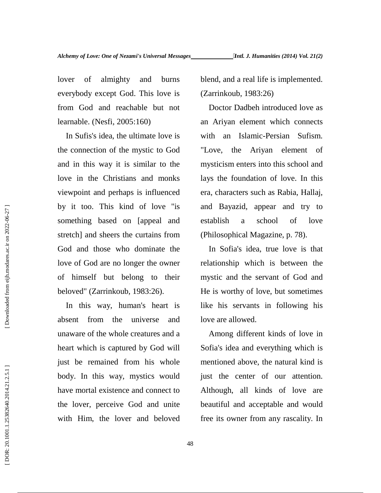lover of almighty and burns everybody except God. This love is from God and reachable but not learnable. (Nesfi, 2005:160)

In Sufis's idea, the ultimate love is the connection of the mystic to God and in this way it is similar to the love in the Christians and monks viewpoint and perhaps is influenced by it too. This kind of love "is something based on [appeal and stretch] and sheers the curtains from God and those who dominate the love of God are no longer the owner of himself but belong to their beloved" (Zarrinkoub, 1983:26).

In this way, human's heart is absent from the universe and unaware of the whole creatures and a heart which is captured by God will just be remained from his whole body. In this way, mystics would have mortal existence and connect to the lover, perceive God and unite with Him, the lover and beloved blend, and a real life is implemented. (Zarrinkoub, 1983:26)

Doctor Dadbeh introduced love as an Ariyan element which connects with an Islamic-Persian Sufism. Ariyan element of mysticism enters into this school and lays the foundation of love. In this era, characters such as Rabia, Hallaj, and Bayazid, appear and try to establish a school of love (Philosophical Magazine, p. 78).

In Sofia's idea, true love is that relationship which is between the mystic and the servant of God and He is worthy of love, but sometimes like his servants in following his love are allowed.

Among different kinds of love in Sofia's idea and everything which is mentioned above, the natural kind is just the center of our attention. Although, all kinds of love are beautiful and acceptable and would free its owner from any rascality. In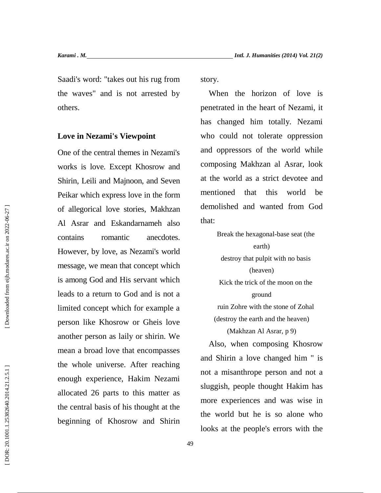Saadi's word: "takes out his rug from the waves" and is not arrested by others.

**Love in Nezami's Viewpoint**

One of the central themes in Nezami's works is love. Except Khosrow and Shirin, Leili and Majnoon, and Seven Peikar which express love in the form of allegorical love stories, Makhzan Al Asrar and Eskandarnameh also contains romantic anecdotes. However, by love, as Nezami's world message, we mean that concept which is among God and His servant which leads to a return to God and is not a limited concept which for example a person like Khosrow or Gheis love another person as laily or shirin. We mean a broad love that encompasses the whole universe. After reaching enough experience, Hakim Nezami allocated 26 parts to this matter as the central basis of his thought at the beginning of Khosrow and Shirin

story.

When the horizon of love is penetrated in the heart of Nezami, it has changed him totally. Nezami who could not tolerate oppression and oppressors of the world while composing Makhzan al Asrar, look at the world as a strict devotee and mentioned that this world be demolished and wanted from God that:

> Break the hexagonal-base seat (the earth) destroy that pulpit with no basis (heaven) Kick the trick of the moon on the ground ruin Zohre with the stone of Zohal (destroy the earth and the heaven)

> > (Makhzan Al Asrar, p 9)

Also, when composing Khosrow and Shirin a love changed him " is not a misanthrope person and not a sluggish, people thought Hakim has more experiences and was wise in the world but he is so alone who looks at the people's errors with the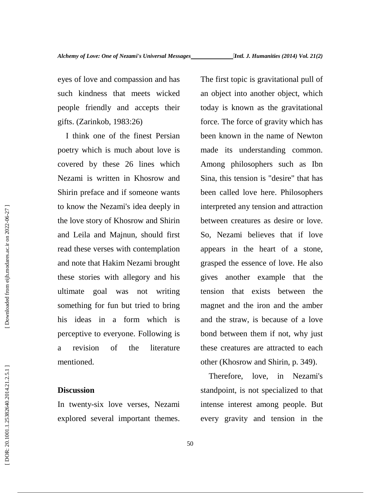eyes of love and compassion and has such kindness that meets wicked people friendly and accepts their gifts. (Zarinkob, 1983:26)

I think one of the finest Persian poetry which is much about love is covered by these 26 lines which Nezami is written in Khosrow and Shirin preface and if someone wants to know the Nezami's idea deeply in the love story of Khosrow and Shirin and Leila and Majnun, should first read these verses with contemplation and note that Hakim Nezami brought these stories with allegory and his ultimate goal was not writing something for fun but tried to bring his ideas in a form which is perceptive to everyone. Following is a revision of the literature mentioned.

## **Discussion**

In twenty-six love verses, Nezami explored several important themes.

The first topic is gravitational pull of an object into another object, which today is known as the gravitational force. The force of gravity which has been known in the name of Newton made its understanding common. Among philosophers such as Ibn Sina, this tension is "desire" that has been called love here. Philosophers interpreted any tension and attraction between creatures as desire or love. So, Nezami believes that if love appears in the heart of a stone, grasped the essence of love. He also gives another example that the tension that exists between the magnet and the iron and the amber and the straw, is because of a love bond between them if not, why just these creatures are attracted to each other (Khosrow and Shirin, p. 349).

Therefore, love, in Nezami's standpoint, is not specialized to that intense interest among people. But every gravity and tension in the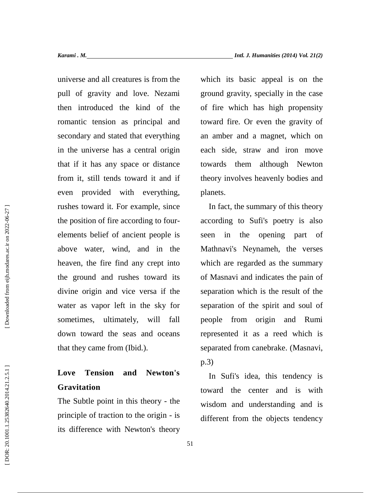universe and all creatures is from the pull of gravity and love. Nezami then introduced the kind of the romantic tension as principal and secondary and stated that everything in the universe has a central origin that if it has any space or distance from it, still tends toward it and if even provided with everything, rushes toward it. For example, since the position of fire according to four elements belief of ancient people is above water, wind, and in the heaven, the fire find any crept into the ground and rushes toward its divine origin and vice versa if the water as vapor left in the sky for sometimes, ultimately, will fall down toward the seas and oceans that they came from (Ibid.).

# **Love Tension and Newton's Gravitation**

The Subtle point in this theory - the principle of traction to the origin - is its difference with Newton's theory which its basic appeal is on the ground gravity, specially in the case of fire which has high propensity toward fire. Or even the gravity of an amber and a magnet, which on each side, straw and iron move towards them although Newton theory involves heavenly bodies and planets.

In fact, the summary of this theory according to Sufi's poetry is also in the opening part of Mathnavi's Neynameh, the verses which are regarded as the summary of Masnavi and indicates the pain of separation which is the result of the separation of the spirit and soul of people from origin and Rumi represented it as a reed which is separated from canebrake. (Masnavi, p.3)<br>In Sufi's idea, this tendency is

toward the center and is with wisdom and understanding and is different from the objects tendency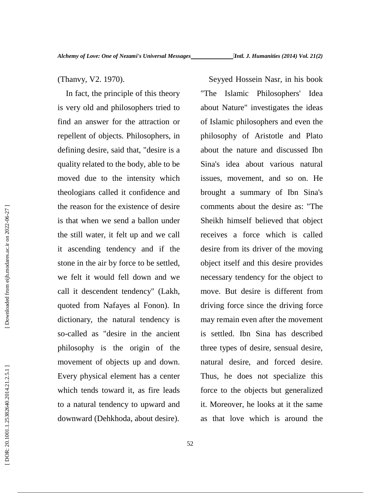(Thanvy, V2. 1970). Seventy of this theory with the principle of this theory with the state is every old and philosophers tried to about find an answer for the attraction or of Islies repellent of objects. Philosophers, in In fact, the principle of this theory The is very old and philosophers tried to find an answer for the attraction or repellent of objects. Philosophers, in defining desire, said that, "desire is a quality related to the body, able to be moved due to the intensity which theologians called it confidence and the reason for the existence of desire is that when we send a ballon under the still water, it felt up and we call it ascending tendency and if the stone in the air by force to be settled, we felt it would fell down and we call it descendent tendency" (Lakh, quoted from Nafayes al Fonon). In dictionary, the natural tendency is so-called as "desire in the ancient philosophy is the origin of the movement of objects up and down. Every physical element has a center which tends toward it, as fire leads to a natural tendency to upward and downward (Dehkhoda, about desire).

Seyyed Hossein Nasr, in his book Islamic Philosophers' Idea about Nature" investigates the ideas of Islamic philosophers and even the philosophy of Aristotle and Plato about the nature and discussed Ibn Sina's idea about various natural issues, movement, and so on. He brought a summary of Ibn Sina's comments about the desire as: "The Sheikh himself believed that object receives a force which is called desire from its driver of the moving object itself and this desire provides necessary tendency for the object to move. But desire is different from driving force since the driving force may remain even after the movement is settled. Ibn Sina has described three types of desire, sensual desire, natural desire, and forced desire. Thus, he does not specialize this force to the objects but generalized it. Moreover, he looks at it the same as that love which is around the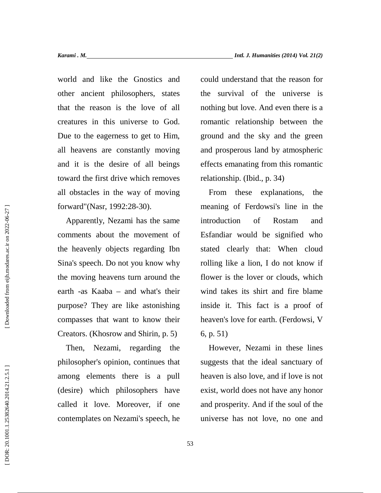world and like the Gnostics and other ancient philosophers, states that the reason is the love of all creatures in this universe to God. Due to the eagerness to get to Him, all heavens are constantly moving and it is the desire of all beings toward the first drive which removes all obstacles in the way of moving forward"(Nasr, 1992:28-30).

Apparently, Nezami has the same comments about the movement of the heavenly objects regarding Ibn Sina's speech. Do not you know why the moving heavens turn around the earth -as Kaaba – and what's their purpose? They are like astonishing compasses that want to know their Creators. (Khosrow and Shirin, p. 5)

Then, Nezami, regarding the philosopher's opinion, continues that among elements there is a pull (desire) which philosophers have called it love. Moreover, if one contemplates on Nezami's speech, he could understand that the reason for the survival of the universe is nothing but love. And even there is a romantic relationship between the ground and the sky and the green and prosperous land by atmospheric effects emanating from this romantic relationship. (Ibid., p. 34)

From these explanations, the meaning of Ferdowsi's line in the introduction of Rostam and Esfandiar would be signified who stated clearly that: When cloud rolling like a lion, I do not know if flower is the lover or clouds, which wind takes its shirt and fire blame inside it. This fact is a proof of heaven's love for earth. (Ferdowsi, V 6, p. 51)

However, Nezami in these lines suggests that the ideal sanctuary of heaven is also love, and if love is not exist, world does not have any honor and prosperity. And if the soul of the universe has not love, no one and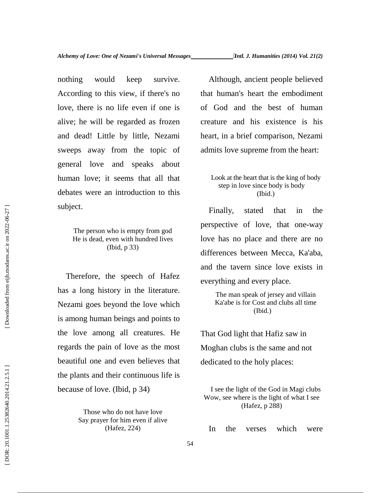nothing would keep survive. According to this view, if there's no love, there is no life even if one is alive; he will be regarded as frozen and dead! Little by little, Nezami sweeps away from the topic of general love and speaks about human love; it seems that all that debates were an introduction to this subject.

> The person who is empty from god He is dead, even with hundred lives (Ibid, p 33)

Therefore, the speech of Hafez has a long history in the literature. Nezami goes beyond the love which is among human beings and points to the love among all creatures. He regards the pain of love as the most beautiful one and even believes that the plants and their continuous life is because of love. (Ibid, p 34)

> Those who do not have love Say prayer for him even if alive (Hafez, 224)

Although, ancient people believed that human's heart the embodiment of God and the best of human creature and his existence is his heart, in a brief comparison, Nezami admits love supreme from the heart:

## Look at the heart that is the king of body step in love since body is body (Ibid.)

Finally, stated that in the perspective of love, that one-way love has no place and there are no differences between Mecca, Ka'aba, and the tavern since love exists in everything and every place.

> The man speak of jersey and villain Ka'abe is for Cost and clubs all time (Ibid.)

That God light that Hafiz saw in Moghan clubs is the same and not dedicated to the holy places:

I see the light of the God in Magi clubs Wow, see where is the light of what I see (Hafez, p 288)

In the verses which were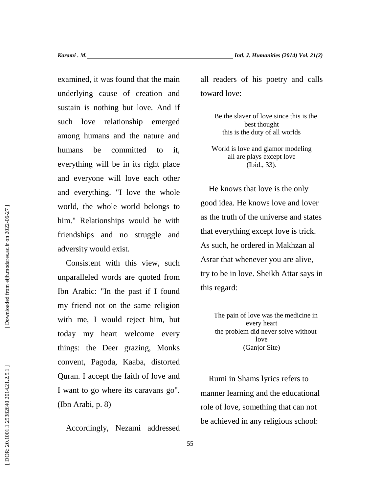examined, it was found that the main underlying cause of creation and sustain is nothing but love. And if such love relationship emerged among humans and the nature and humans be committed to it, everything will be in its right place and everyone will love each other and everything. "I love the whole world, the whole world belongs to him." Relationships would be with friendships and no struggle and adversity would exist.

Consistent with this view, such unparalleled words are quoted from Ibn Arabic: "In the past if I found my friend not on the same religion with me, I would reject him, but today my heart welcome every things: the Deer grazing, Monks convent, Pagoda, Kaaba, distorted Quran. I accept the faith of love and I want to go where its caravans go". (Ibn Arabi, p. 8)

Accordingly, Nezami addressed

all readers of his poetry and calls toward love:

> Be the slaver of love since this is the best thought this is the duty of all worlds

World is love and glamor modeling all are plays except love (Ibid., 33).

He knows that love is the only good idea. He knows love and lover as the truth of the universe and states that everything except love is trick. As such, he ordered in Makhzan al Asrar that whenever you are alive, try to be in love. Sheikh Attar says in this regard:

> The pain of love was the medicine in every heart the problem did never solve without love (Ganjor Site)

Rumi in Shams lyrics refers to manner learning and the educational role of love, something that can not be achieved in any religious school: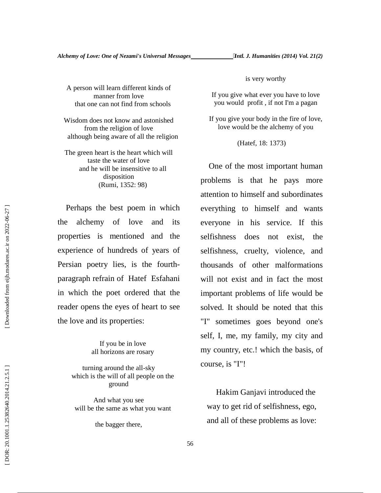A person will learn different kinds of manner from love that one can not find from schools

Wisdom does not know and astonished from the religion of love although being aware of all the religion

The green heart is the heart which will taste the water of love and he will be insensitive to all disposition (Rumi, 1352: 98)

Perhaps the best poem in which the alchemy of love and its properties is mentioned and the experience of hundreds of years of Persian poetry lies, is the fourth paragraph refrain of Hatef Esfahani in which the poet ordered that the reader opens the eyes of heart to see the love and its properties:

> If you be in love all horizons are rosary

turning around the all-sky which is the will of all people on the ground

And what you see will be the same as what you want

the bagger there,

is very worthy

If you give what ever you have to love you would profit , if not I'm a pagan

If you give your body in the fire of love, love would be the alchemy of you

(Hatef, 18: 1373)

One of the most important human problems is that he pays more attention to himself and subordinates everything to himself and wants everyone in his service. If this selfishness does not exist, the selfishness, cruelty, violence, and thousands of other malformations will not exist and in fact the most important problems of life would be solved. It should be noted that this "I" sometimes goes beyond one's self, I, me, my family, my city and my country, etc.! which the basis, of course, is "I"!

Hakim Ganjavi introduced the way to get rid of selfishness, ego, and all of these problems as love: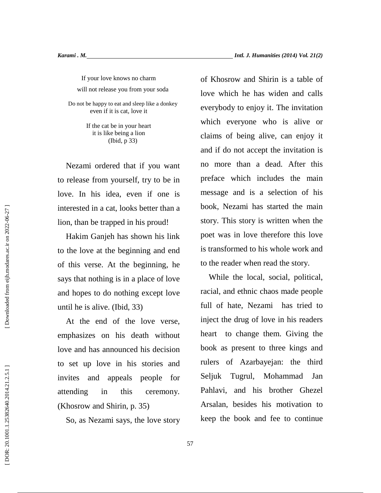If your love knows no charm will not release you from your soda

Do not be happy to eat and sleep like a donkey even if it is cat, love it

> If the cat be in your heart it is like being a lion (Ibid, p 33)

Nezami ordered that if you want to release from yourself, try to be in love. In his idea, even if one is interested in a cat, looks better than a lion, than be trapped in his proud!

Hakim Ganjeh has shown his link to the love at the beginning and end of this verse. At the beginning, he says that nothing is in a place of love and hopes to do nothing except love until he is alive. (Ibid, 33)

At the end of the love verse, emphasizes on his death without love and has announced his decision to set up love in his stories and invites and appeals people for Seljuk attending in this ceremony. (Khosrow and Shirin, p. 35)

So, as Nezami says, the love story

of Khosrow and Shirin is a table of love which he has widen and calls everybody to enjoy it. The invitation which everyone who is alive or claims of being alive, can enjoy it and if do not accept the invitation is no more than a dead. After this preface which includes the main message and is a selection of his book, Nezami has started the main story. This story is written when the poet was in love therefore this love is transformed to his whole work and to the reader when read the story.

While the local, social, political, racial, and ethnic chaos made people full of hate, Nezami has tried to inject the drug of love in his readers heart to change them. Giving the book as present to three kings and rulers of Azarbayejan: the third Tugrul, Mohammad Jan Pahlavi, and his brother Ghezel Arsalan, besides his motivation to keep the book and fee to continue

Downloaded from eijh.modares.ac.ir on 2022-06-27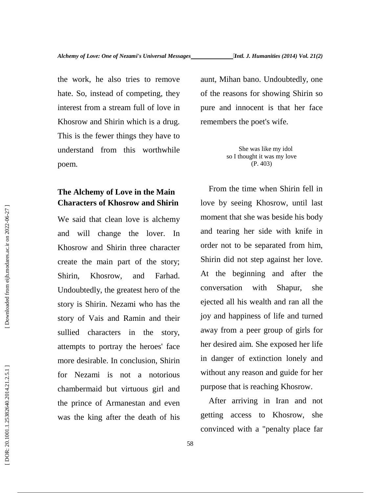the work, he also tries to remove hate. So, instead of competing, they interest from a stream full of love in Khosrow and Shirin which is a drug. This is the fewer things they have to understand from this worthwhile

## **The Alchemy of Love in the Main Characters of Khosrow and Shirin**

poem.

We said that clean love is alchemy and will change the lover. In Khosrow and Shirin three character create the main part of the story; Shirin, Khosrow, and Farhad. Undoubtedly, the greatest hero of the story is Shirin. Nezami who has the story of Vais and Ramin and their sullied characters in the story, attempts to portray the heroes' face more desirable. In conclusion, Shirin for Nezami is not a notorious chambermaid but virtuous girl and the prince of Armanestan and even was the king after the death of his aunt, Mihan bano. Undoubtedly, one of the reasons for showing Shirin so pure and innocent is that her face remembers the poet's wife.

> She was like my idol so I thought it was my love (P. 403)

From the time when Shirin fell in love by seeing Khosrow, until last moment that she was beside his body and tearing her side with knife in order not to be separated from him, Shirin did not step against her love. At the beginning and after the conversation with Shapur, she ejected all his wealth and ran all the joy and happiness of life and turned away from a peer group of girls for her desired aim. She exposed her life in danger of extinction lonely and without any reason and guide for her purpose that is reaching Khosrow.

After arriving in Iran and not getting access to Khosrow, she convinced with a "penalty place far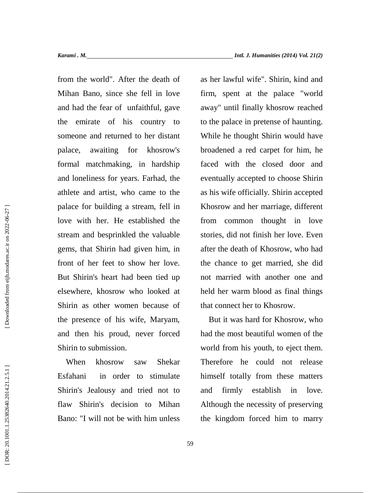from the world". After the death of Mihan Bano, since she fell in love and had the fear of unfaithful, gave the emirate of his country to someone and returned to her distant palace, awaiting for khosrow's formal matchmaking, in hardship and loneliness for years. Farhad, the athlete and artist, who came to the palace for building a stream, fell in love with her. He established the stream and besprinkled the valuable gems, that Shirin had given him, in front of her feet to show her love. But Shirin's heart had been tied up elsewhere, khosrow who looked at Shirin as other women because of the presence of his wife, Maryam, and then his proud, never forced Shirin to submission.

When khosrow saw Shekar Esfahani in order to stimulate Shirin's Jealousy and tried not to and flaw Shirin's decision to Mihan Bano: "I will not be with him unless

as her lawful wife". Shirin, kind and firm, spent at the palace "world away" until finally khosrow reached to the palace in pretense of haunting. While he thought Shirin would have broadened a red carpet for him, he faced with the closed door and eventually accepted to choose Shirin as his wife officially. Shirin accepted Khosrow and her marriage, different from common thought in love stories, did not finish her love. Even after the death of Khosrow, who had the chance to get married, she did not married with another one and held her warm blood as final things that connect her to Khosrow.

But it was hard for Khosrow, who had the most beautiful women of the world from his youth, to eject them. Therefore he could not release himself totally from these matters firmly establish in love. Although the necessity of preserving the kingdom forced him to marry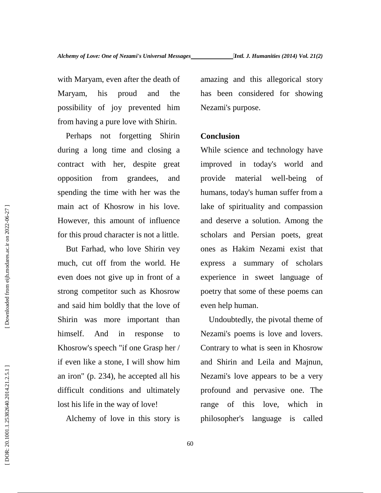with Maryam, even after the death of Maryam, his proud and the possibility of joy prevented him from having a pure love with Shirin.

Perhaps not forgetting Shirin during a long time and closing a contract with her, despite great opposition from grandees, and spending the time with her was the main act of Khosrow in his love. However, this amount of influence for this proud character is not a little.

But Farhad, who love Shirin vey much, cut off from the world. He even does not give up in front of a strong competitor such as Khosrow and said him boldly that the love of Shirin was more important than himself. And in response to Khosrow's speech "if one Grasp her / if even like a stone, I will show him an iron" (p. 234), he accepted all his difficult conditions and ultimately lost his life in the way of love!

Alchemy of love in this story is

amazing and this allegorical story has been considered for showing Nezami's purpose.

## **Conclusion**

While science and technology have improved in today's world and provide material well-being of humans, today's human suffer from a lake of spirituality and compassion and deserve a solution. Among the scholars and Persian poets, great ones as Hakim Nezami exist that express a summary of scholars experience in sweet language of poetry that some of these poems can even help human.

Undoubtedly, the pivotal theme of Nezami's poems is love and lovers. Contrary to what is seen in Khosrow and Shirin and Leila and Majnun, Nezami's love appears to be a very profound and pervasive one. The range of this love, which in philosopher's language is called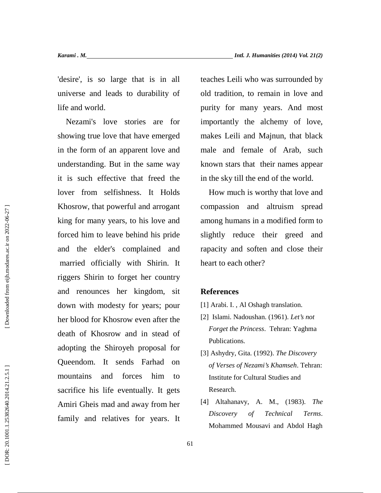'desire', is so large that is in all universe and leads to durability of life and world.

Nezami's love stories are for showing true love that have emerged in the form of an apparent love and understanding. But in the same way it is such effective that freed the lover from selfishness. It Holds Khosrow, that powerful and arrogant king for many years, to his love and forced him to leave behind his pride and the elder's complained and married officially with Shirin. It riggers Shirin to forget her country and renounces her kingdom, sit down with modesty for years; pour her blood for Khosrow even after the death of Khosrow and in stead of adopting the Shiroyeh proposal for Queendom. It sends Farhad on mountains and forces him to sacrifice his life eventually. It gets Amiri Gheis mad and away from her family and relatives for years. It

teaches Leili who was surrounded by old tradition, to remain in love and purity for many years. And most importantly the alchemy of love, makes Leili and Majnun, that black male and female of Arab, such known stars that their names appear in the sky till the end of the world.

How much is worthy that love and compassion and altruism spread among humans in a modified form to slightly reduce their greed and rapacity and soften and close their heart to each other?

## **References**

- [1] Arabi. I. , Al Oshagh translation.
- [2] Islami. Nadoushan. (1961). *Let's not Forget the Princess*. Tehran: Yaghma Publications.
- [3] Ashydry, Gita. (1992). *The Discovery of Verses of Nezami's Khamseh*. Tehran: Institute for Cultural Studies and Research.
- [4] Altahanavy, A. M., (1983). *The Discovery of Technical Terms*. Mohammed Mousavi and Abdol Hagh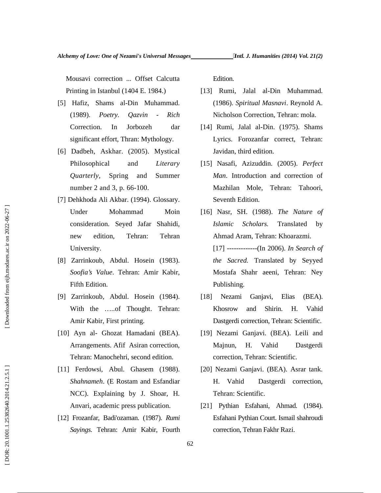Mousavi correction ... Offset Calcutta Printing in Istanbul (1404 E. 1984.)

- [5] Hafiz, Shams al-Din Muhammad. (1989). *Poetry. Qazvin - Rich* Correction. In Jorbozeh dar significant effort, Thran: Mythology.
- [6] Dadbeh, Askhar. (2005). Mystical Philosophical and *Literary Quarterly*, Spring and Summer number 2 and 3, p. 66-100.
- [7] Dehkhoda Ali Akbar. (1994). Glossary. Under Mohammad Moin consideration. Seyed Jafar Shahidi, new edition, Tehran: Tehran University.
- [8] Zarrinkoub, Abdul. Hosein (1983). *Soofia's Value*. Tehran: Amir Kabir, Fifth Edition.
- [9] Zarrinkoub, Abdul. Hosein (1984). With the …..of Thought. Tehran: Amir Kabir, First printing.
- [10] Ayn al- Ghozat Hamadani (BEA). Arrangements. Afif Asiran correction, Tehran: Manochehri, second edition.
- [11] Ferdowsi, Abul. Ghasem (1988). *Shahnameh*. (E Rostam and Esfandiar NCC). Explaining by J. Shoar, H. Anvari, academic press publication.
- [12] Frozanfar, Badi'ozaman. (1987). *Rumi Sayings*. Tehran: Amir Kabir, Fourth

Edition.

- [13] Rumi, Jalal al-Din Muhammad. (1986). *Spiritual Masnavi*. Reynold A. Nicholson Correction, Tehran: mola.
- [14] Rumi, Jalal al-Din. (1975). Shams Lyrics. Forozanfar correct, Tehran: Javidan, third edition.
- [15] Nasafi, Azizuddin. (2005). *Perfect Man*. Introduction and correction of Mazhilan Mole, Tehran: Tahoori, Seventh Edition.
- [16] Nasr, SH. (1988). *The Nature of Islamic Scholars.* Translated by Ahmad Aram, Tehran: Khoarazmi. [17] -------------(In 2006). *In Search of the Sacred.* Translated by Seyyed Mostafa Shahr aeeni, Tehran: Ney Publishing.
- [18] Nezami Ganjavi, Elias (BEA). Khosrow and Shirin. H. Vahid Dastgerdi correction, Tehran: Scientific.
- [19] Nezami Ganjavi. (BEA). Leili and Majnun, H. Vahid Dastgerdi correction, Tehran: Scientific.
- [20] Nezami Ganjavi. (BEA). Asrar tank. H. Vahid Dastgerdi correction, Tehran: Scientific.
- [21] Pythian Esfahani, Ahmad. (1984). Esfahani Pythian Court. Ismail shahroudi correction, Tehran Fakhr Razi.